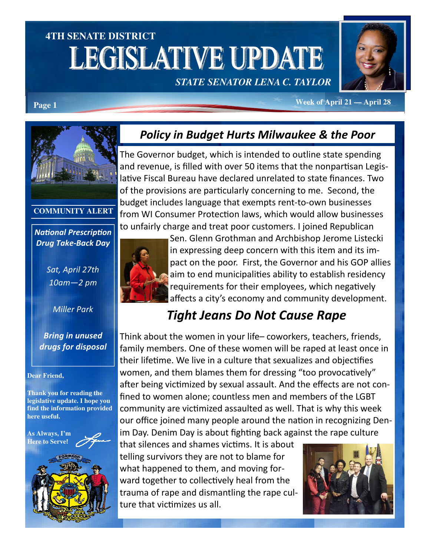# **4TH SENATE DISTRICT**  LEGISLATIVE UPDATE *STATE SENATOR LENA C. TAYLOR*



**Week of April 21 — April 28 Page 1** 

### Policy in Budget Hurts Milwaukee & the Poor

The Governor budget, which is intended to outline state spending and revenue, is filled with over 50 items that the nonpartisan Legislative Fiscal Bureau have declared unrelated to state finances. Two of the provisions are particularly concerning to me. Second, the budget includes language that exempts rent-to-own businesses from WI Consumer Protection laws, which would allow businesses to unfairly charge and treat poor customers. I joined Republican



Sen. Glenn Grothman and Archbishop Jerome Listecki in expressing deep concern with this item and its impact on the poor. First, the Governor and his GOP allies aim to end municipalities ability to establish residency requirements for their employees, which negatively affects a city's economy and community development.

# Tight Jeans Do Not Cause Rape

Think about the women in your life– coworkers, teachers, friends, family members. One of these women will be raped at least once in their lifetime. We live in a culture that sexualizes and objectifies women, and them blames them for dressing "too provocatively" after being victimized by sexual assault. And the effects are not confined to women alone; countless men and members of the LGBT community are victimized assaulted as well. That is why this week our office joined many people around the nation in recognizing Denim Day. Denim Day is about fighting back against the rape culture

that silences and shames victims. It is about telling survivors they are not to blame for what happened to them, and moving forward together to collectively heal from the trauma of rape and dismantling the rape culture that victimizes us all.





#### **COMMUNITY ALERT**

**National Prescription** Drug Take-Back Day

> Sat, April 27th 10am—2 pm

> > Miller Park

Bring in unused drugs for disposal

#### **Dear Friend,**

**Thank you for reading the legislative update. I hope you find the information provided here useful.** 

**As Always, I'm Here to Serve**!